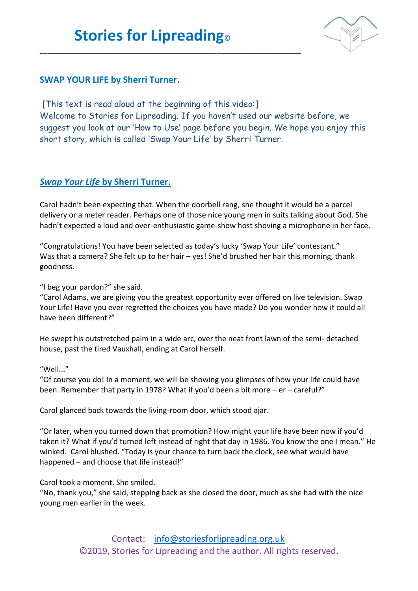\_\_\_\_\_\_\_\_\_\_\_\_\_\_\_\_\_\_\_\_\_\_\_\_\_\_\_\_\_\_\_\_\_\_\_\_\_\_\_\_\_\_\_\_\_\_\_\_\_\_\_\_\_\_\_\_\_\_\_\_\_\_\_\_\_\_\_\_



## **SWAP YOUR LIFE by Sherri Turner.**

[This text is read aloud at the beginning of this video:] Welcome to Stories for Lipreading. If you haven't used our website before, we suggest you look at our 'How to Use' page before you begin. We hope you enjoy this short story, which is called 'Swap Your Life' by Sherri Turner.

## *Swap Your Life* **by Sherri Turner.**

Carol hadn't been expecting that. When the doorbell rang, she thought it would be a parcel delivery or a meter reader. Perhaps one of those nice young men in suits talking about God. She hadn't expected a loud and over-enthusiastic game-show host shoving a microphone in her face.

"Congratulations! You have been selected as today's lucky 'Swap Your Life' contestant." Was that a camera? She felt up to her hair – yes! She'd brushed her hair this morning, thank goodness.

"I beg your pardon?" she said.

"Carol Adams, we are giving you the greatest opportunity ever offered on live television. Swap Your Life! Have you ever regretted the choices you have made? Do you wonder how it could all have been different?"

He swept his outstretched palm in a wide arc, over the neat front lawn of the semi- detached house, past the tired Vauxhall, ending at Carol herself.

"Well..."

"Of course you do! In a moment, we will be showing you glimpses of how your life could have been. Remember that party in 1978? What if you'd been a bit more – er – careful?"

Carol glanced back towards the living-room door, which stood ajar.

"Or later, when you turned down that promotion? How might your life have been now if you'd taken it? What if you'd turned left instead of right that day in 1986. You know the one I mean." He winked. Carol blushed. "Today is your chance to turn back the clock, see what would have happened – and choose that life instead!"

Carol took a moment. She smiled.

"No, thank you," she said, stepping back as she closed the door, much as she had with the nice young men earlier in the week.